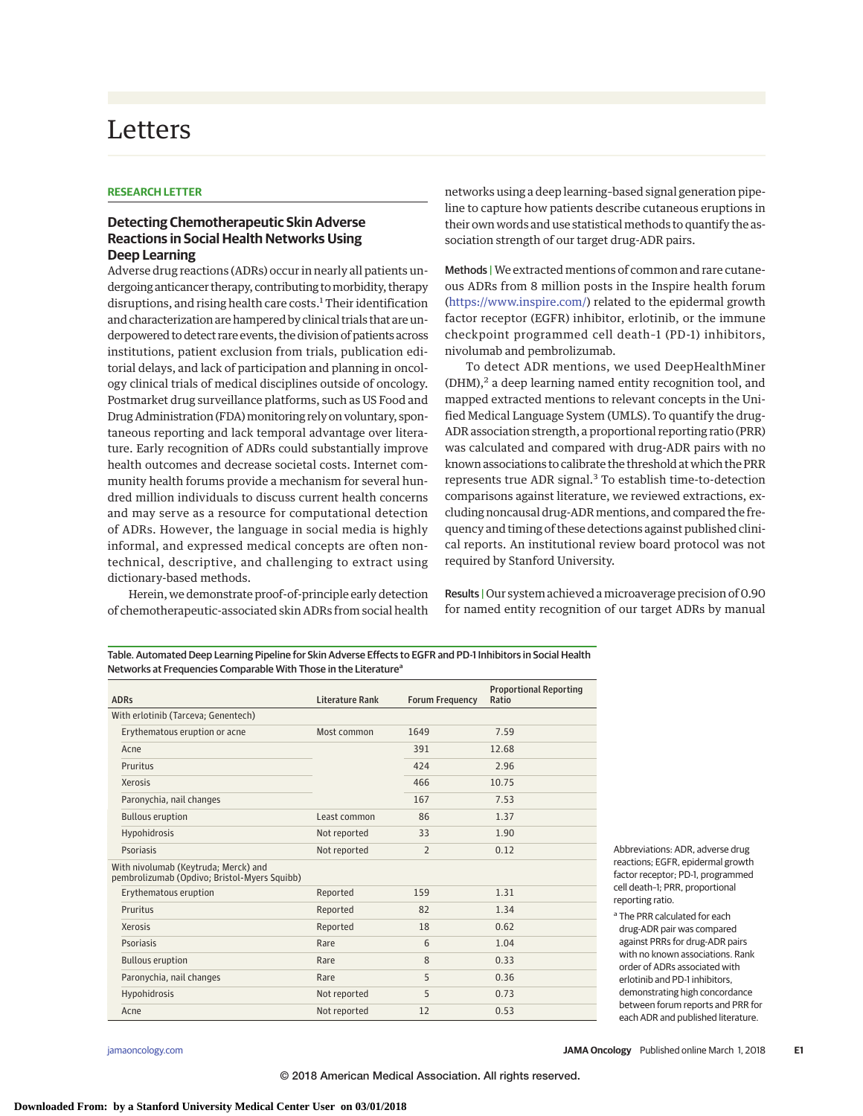## Letters

## **RESEARCH LETTER**

## **Detecting Chemotherapeutic Skin Adverse Reactions in Social Health Networks Using Deep Learning**

Adverse drug reactions (ADRs) occur in nearly all patients undergoing anticancer therapy, contributing to morbidity, therapy disruptions, and rising health care costs.<sup>1</sup> Their identification and characterization are hampered by clinical trials that are underpowered to detect rare events, the division of patients across institutions, patient exclusion from trials, publication editorial delays, and lack of participation and planning in oncology clinical trials of medical disciplines outside of oncology. Postmarket drug surveillance platforms, such as US Food and Drug Administration (FDA) monitoring rely on voluntary, spontaneous reporting and lack temporal advantage over literature. Early recognition of ADRs could substantially improve health outcomes and decrease societal costs. Internet community health forums provide a mechanism for several hundred million individuals to discuss current health concerns and may serve as a resource for computational detection of ADRs. However, the language in social media is highly informal, and expressed medical concepts are often nontechnical, descriptive, and challenging to extract using dictionary-based methods.

Herein, we demonstrate proof-of-principle early detection of chemotherapeutic-associated skin ADRs from social health networks using a deep learning–based signal generation pipeline to capture how patients describe cutaneous eruptions in their own words and use statistical methods to quantify the association strength of our target drug-ADR pairs.

Methods |We extracted mentions of common and rare cutaneous ADRs from 8 million posts in the Inspire health forum [\(https://www.inspire.com/\)](https://www.inspire.com/) related to the epidermal growth factor receptor (EGFR) inhibitor, erlotinib, or the immune checkpoint programmed cell death–1 (PD-1) inhibitors, nivolumab and pembrolizumab.

To detect ADR mentions, we used DeepHealthMiner  $(DHM)<sup>2</sup>$  a deep learning named entity recognition tool, and mapped extracted mentions to relevant concepts in the Unified Medical Language System (UMLS). To quantify the drug-ADR association strength, a proportional reporting ratio (PRR) was calculated and compared with drug-ADR pairs with no known associations to calibrate the threshold at which the PRR represents true ADR signal.<sup>3</sup> To establish time-to-detection comparisons against literature, we reviewed extractions, excluding noncausal drug-ADR mentions, and compared the frequency and timing of these detections against published clinical reports. An institutional review board protocol was not required by Stanford University.

Results | Our system achieved amicroaverage precision of 0.90 for named entity recognition of our target ADRs by manual

Table. Automated Deep Learning Pipeline for Skin Adverse Effects to EGFR and PD-1 Inhibitors in Social Health Networks at Frequencies Comparable With Those in the Literature<sup>a</sup>

| <b>ADRs</b>                                                                          | Literature Rank | <b>Forum Frequency</b> | <b>Proportional Reporting</b><br>Ratio |
|--------------------------------------------------------------------------------------|-----------------|------------------------|----------------------------------------|
| With erlotinib (Tarceva; Genentech)                                                  |                 |                        |                                        |
| Erythematous eruption or acne                                                        | Most common     | 1649                   | 7.59                                   |
| Acne                                                                                 |                 | 391                    | 12.68                                  |
| Pruritus                                                                             |                 | 424                    | 2.96                                   |
| Xerosis                                                                              |                 | 466                    | 10.75                                  |
| Paronychia, nail changes                                                             |                 | 167                    | 7.53                                   |
| <b>Bullous eruption</b>                                                              | Least common    | 86                     | 1.37                                   |
| Hypohidrosis                                                                         | Not reported    | 33                     | 1.90                                   |
| Psoriasis                                                                            | Not reported    | $\overline{2}$         | 0.12                                   |
| With nivolumab (Keytruda; Merck) and<br>pembrolizumab (Opdivo; Bristol-Myers Squibb) |                 |                        |                                        |
| Erythematous eruption                                                                | Reported        | 159                    | 1.31                                   |
| Pruritus                                                                             | Reported        | 82                     | 1.34                                   |
| Xerosis                                                                              | Reported        | 18                     | 0.62                                   |
| Psoriasis                                                                            | Rare            | 6                      | 1.04                                   |
| <b>Bullous eruption</b>                                                              | Rare            | 8                      | 0.33                                   |
| Paronychia, nail changes                                                             | Rare            | 5                      | 0.36                                   |
| Hypohidrosis                                                                         | Not reported    | 5                      | 0.73                                   |
| Acne                                                                                 | Not reported    | 12                     | 0.53                                   |

Abbreviations: ADR, adverse drug reactions; EGFR, epidermal growth factor receptor; PD-1, programmed cell death–1; PRR, proportional reporting ratio.

<sup>&</sup>lt;sup>a</sup> The PRR calculated for each drug-ADR pair was compared against PRRs for drug-ADR pairs with no known associations. Rank order of ADRs associated with erlotinib and PD-1 inhibitors, demonstrating high concordance between forum reports and PRR for each ADR and published literature.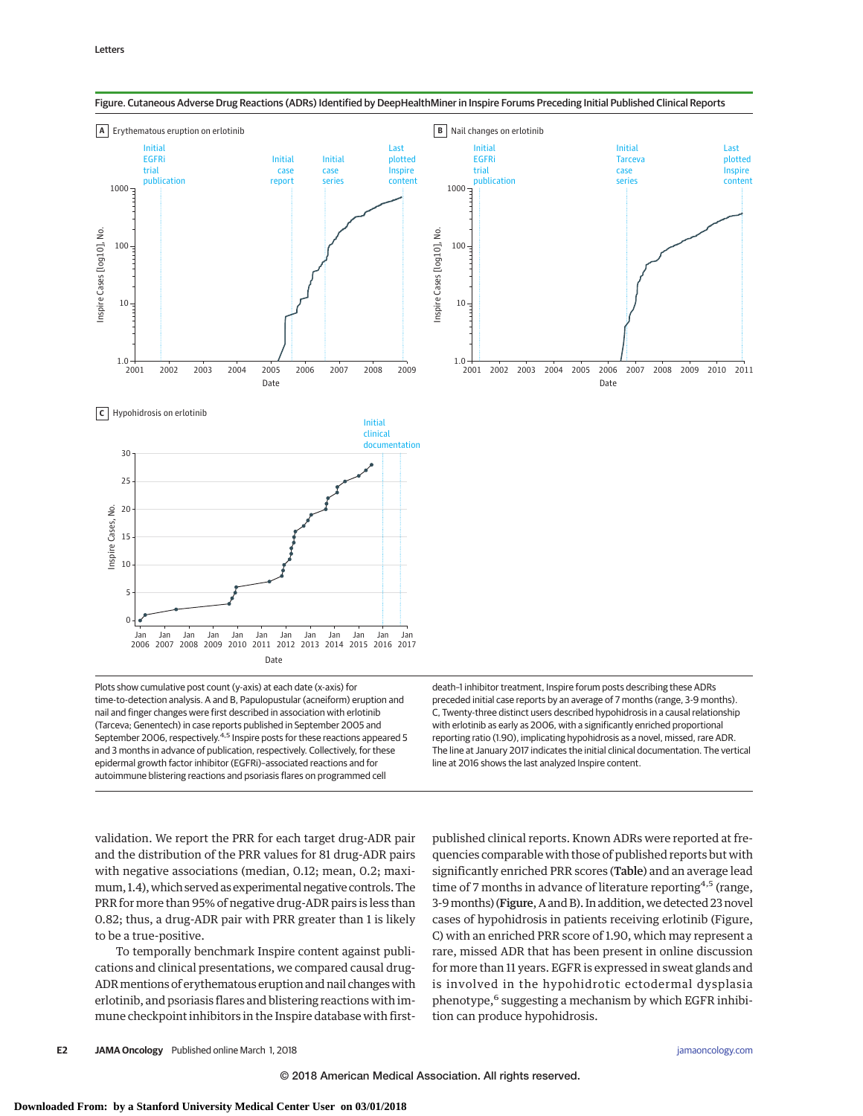

Figure. Cutaneous Adverse Drug Reactions (ADRs) Identified by DeepHealthMiner in Inspire Forums Preceding Initial Published Clinical Reports

Plots show cumulative post count (y-axis) at each date (x-axis) for time-to-detection analysis. A and B, Papulopustular (acneiform) eruption and nail and finger changes were first described in association with erlotinib (Tarceva; Genentech) in case reports published in September 2005 and September 2006, respectively. $4.5$  Inspire posts for these reactions appeared 5 and 3 months in advance of publication, respectively. Collectively, for these epidermal growth factor inhibitor (EGFRi)–associated reactions and for autoimmune blistering reactions and psoriasis flares on programmed cell

death–1 inhibitor treatment, Inspire forum posts describing these ADRs preceded initial case reports by an average of 7 months (range, 3-9 months). C, Twenty-three distinct users described hypohidrosis in a causal relationship with erlotinib as early as 2006, with a significantly enriched proportional reporting ratio (1.90), implicating hypohidrosis as a novel, missed, rare ADR. The line at January 2017 indicates the initial clinical documentation. The vertical line at 2016 shows the last analyzed Inspire content.

validation. We report the PRR for each target drug-ADR pair and the distribution of the PRR values for 81 drug-ADR pairs with negative associations (median, 0.12; mean, 0.2; maximum, 1.4), which served as experimental negative controls. The PRR for more than 95% of negative drug-ADR pairs is less than 0.82; thus, a drug-ADR pair with PRR greater than 1 is likely to be a true-positive.

To temporally benchmark Inspire content against publications and clinical presentations, we compared causal drug-ADR mentions of erythematous eruption and nail changes with erlotinib, and psoriasis flares and blistering reactions with immune checkpoint inhibitors in the Inspire database with firstpublished clinical reports. Known ADRs were reported at frequencies comparable with those of published reports but with significantly enriched PRR scores (Table) and an average lead time of 7 months in advance of literature reporting<sup>4,5</sup> (range, 3-9months) (Figure, A and B). In addition, we detected 23 novel cases of hypohidrosis in patients receiving erlotinib (Figure, C) with an enriched PRR score of 1.90, which may represent a rare, missed ADR that has been present in online discussion for more than 11 years. EGFR is expressed in sweat glands and is involved in the hypohidrotic ectodermal dysplasia phenotype,<sup>6</sup> suggesting a mechanism by which EGFR inhibition can produce hypohidrosis.